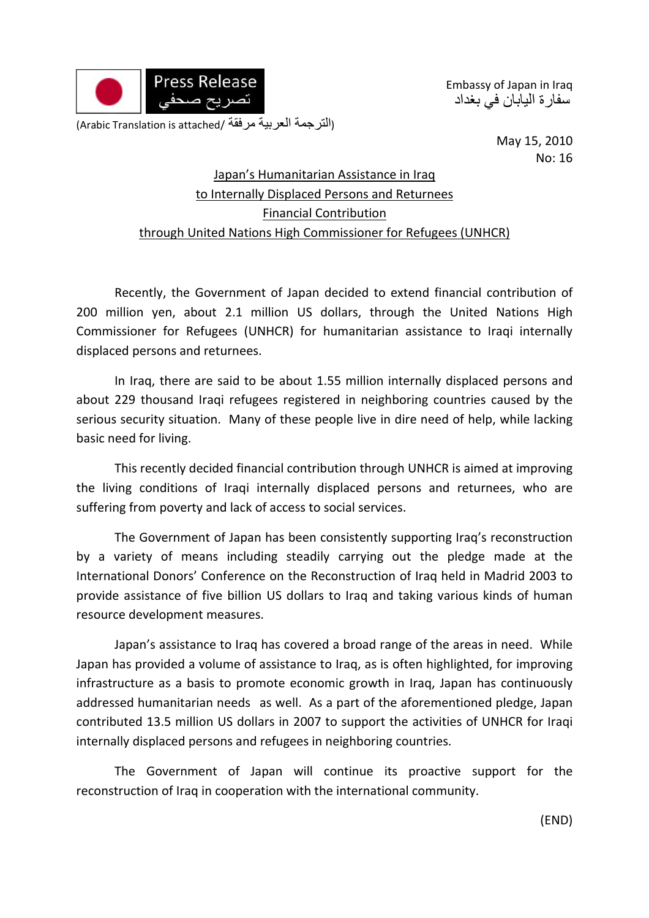

Embassy of Japan in Iraq سفارة اليابان في بغداد

(الترجمة العربية مرفقة /Arabic Translation is attached)

May 15, 2010 No: 16

## Japan's Humanitarian Assistance in Iraq to Internally Displaced Persons and Returnees Financial Contribution through United Nations High Commissioner for Refugees (UNHCR)

Recently, the Government of Japan decided to extend financial contribution of 200 million yen, about 2.1 million US dollars, through the United Nations High Commissioner for Refugees (UNHCR) for humanitarian assistance to Iraqi internally displaced persons and returnees.

In Iraq, there are said to be about 1.55 million internally displaced persons and about 229 thousand Iraqi refugees registered in neighboring countries caused by the serious security situation. Many of these people live in dire need of help, while lacking basic need for living.

This recently decided financial contribution through UNHCR is aimed at improving the living conditions of Iraqi internally displaced persons and returnees, who are suffering from poverty and lack of access to social services.

The Government of Japan has been consistently supporting Iraq's reconstruction by a variety of means including steadily carrying out the pledge made at the International Donors' Conference on the Reconstruction of Iraq held in Madrid 2003 to provide assistance of five billion US dollars to Iraq and taking various kinds of human resource development measures.

Japan's assistance to Iraq has covered a broad range of the areas in need. While Japan has provided a volume of assistance to Iraq, as is often highlighted, for improving infrastructure as a basis to promote economic growth in Iraq, Japan has continuously addressed humanitarian needs as well. As a part of the aforementioned pledge, Japan contributed 13.5 million US dollars in 2007 to support the activities of UNHCR for Iraqi internally displaced persons and refugees in neighboring countries.

The Government of Japan will continue its proactive support for the reconstruction of Iraq in cooperation with the international community.